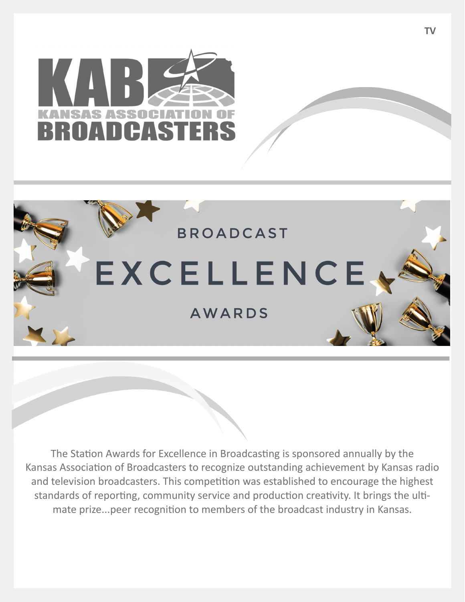



The Station Awards for Excellence in Broadcasting is sponsored annually by the Kansas Association of Broadcasters to recognize outstanding achievement by Kansas radio and television broadcasters. This competition was established to encourage the highest standards of reporting, community service and production creativity. It brings the ultimate prize...peer recognition to members of the broadcast industry in Kansas.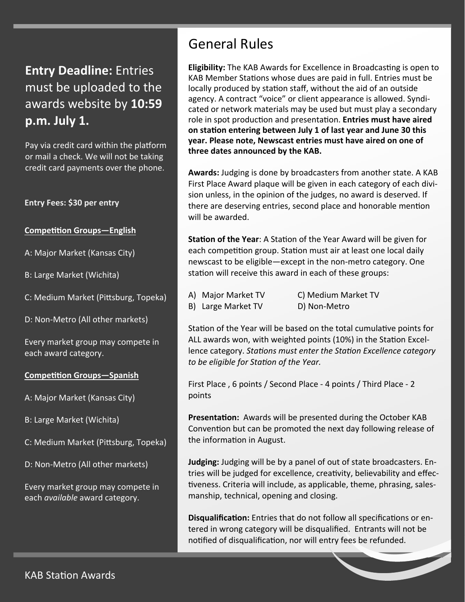**Entry Deadline:** Entries must be uploaded to the awards website by **10:59 p.m. July 1.**

Pay via credit card within the platform or mail a check. We will not be taking credit card payments over the phone.

### **Entry Fees: \$30 per entry**

### **Competition Groups—English**

A: Major Market (Kansas City)

B: Large Market (Wichita)

C: Medium Market (Pittsburg, Topeka)

D: Non-Metro (All other markets)

Every market group may compete in each award category.

#### **Competition Groups**—Spanish

A: Major Market (Kansas City)

B: Large Market (Wichita)

C: Medium Market (Pittsburg, Topeka)

D: Non-Metro (All other markets)

Every market group may compete in each *available* award category.

## General Rules

**Eligibility:** The KAB Awards for Excellence in Broadcasting is open to KAB Member Stations whose dues are paid in full. Entries must be locally produced by station staff, without the aid of an outside agency. A contract "voice" or client appearance is allowed. Syndicated or network materials may be used but must play a secondary role in spot producƟon and presentaƟon. **Entries must have aired on staƟon entering between July 1 of last year and June 30 this year. Please note, Newscast entries must have aired on one of three dates announced by the KAB.**

**Awards:** Judging is done by broadcasters from another state. A KAB First Place Award plaque will be given in each category of each division unless, in the opinion of the judges, no award is deserved. If there are deserving entries, second place and honorable mention will be awarded.

**Station of the Year:** A Station of the Year Award will be given for each competition group. Station must air at least one local daily newscast to be eligible—except in the non-metro category. One station will receive this award in each of these groups:

- 
- B) Large Market TV D) Non-Metro
- A) Major Market TV C) Medium Market TV

Station of the Year will be based on the total cumulative points for ALL awards won, with weighted points (10%) in the Station Excellence category. *Stations must enter the Station Excellence category to be eligible for StaƟon of the Year.* 

First Place , 6 points / Second Place - 4 points / Third Place - 2 points

**Presentation:** Awards will be presented during the October KAB Convention but can be promoted the next day following release of the information in August.

**Judging:** Judging will be by a panel of out of state broadcasters. Entries will be judged for excellence, creativity, believability and effectiveness. Criteria will include, as applicable, theme, phrasing, salesmanship, technical, opening and closing.

**Disqualification:** Entries that do not follow all specifications or entered in wrong category will be disqualified. Entrants will not be notified of disqualification, nor will entry fees be refunded.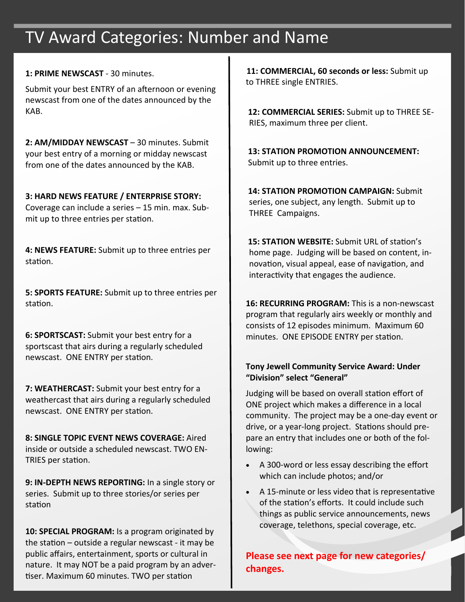## TV Award Categories: Number and Name

### **1: PRIME NEWSCAST** - 30 minutes.

Submit your best ENTRY of an afternoon or evening newscast from one of the dates announced by the KAB.

**2: AM/MIDDAY NEWSCAST** – 30 minutes. Submit your best entry of a morning or midday newscast from one of the dates announced by the KAB.

## **3: HARD NEWS FEATURE / ENTERPRISE STORY:**

Coverage can include a series – 15 min. max. Submit up to three entries per station.

**4: NEWS FEATURE:** Submit up to three entries per station.

**5: SPORTS FEATURE:** Submit up to three entries per station.

**6: SPORTSCAST:** Submit your best entry for a sportscast that airs during a regularly scheduled newscast. ONE ENTRY per station.

**7: WEATHERCAST:** Submit your best entry for a weathercast that airs during a regularly scheduled newscast. ONE ENTRY per station.

**8: SINGLE TOPIC EVENT NEWS COVERAGE:** Aired inside or outside a scheduled newscast. TWO EN-TRIES per station.

**9: IN‐DEPTH NEWS REPORTING:** In a single story or series. Submit up to three stories/or series per station

**10: SPECIAL PROGRAM:** Is a program originated by the station  $-$  outside a regular newscast - it may be public affairs, entertainment, sports or cultural in nature. It may NOT be a paid program by an advertiser. Maximum 60 minutes. TWO per station

**11: COMMERCIAL, 60 seconds or less:** Submit up to THREE single ENTRIES.

**12: COMMERCIAL SERIES:** Submit up to THREE SE-RIES, maximum three per client.

**13: STATION PROMOTION ANNOUNCEMENT:** Submit up to three entries.

**14: STATION PROMOTION CAMPAIGN:** Submit series, one subject, any length. Submit up to THREE Campaigns.

**15: STATION WEBSITE:** Submit URL of station's home page. Judging will be based on content, innovation, visual appeal, ease of navigation, and interactivity that engages the audience.

**16: RECURRING PROGRAM:** This is a non-newscast program that regularly airs weekly or monthly and consists of 12 episodes minimum. Maximum 60 minutes. ONE EPISODE ENTRY per station.

## **Tony Jewell Community Service Award: Under "Division" select "General"**

Judging will be based on overall station effort of ONE project which makes a difference in a local community. The project may be a one-day event or drive, or a year-long project. Stations should prepare an entry that includes one or both of the following:

- A 300-word or less essay describing the effort which can include photos; and/or
- A 15-minute or less video that is representative of the station's efforts. It could include such things as public service announcements, news coverage, telethons, special coverage, etc.

**Please see next page for new categories/ changes.**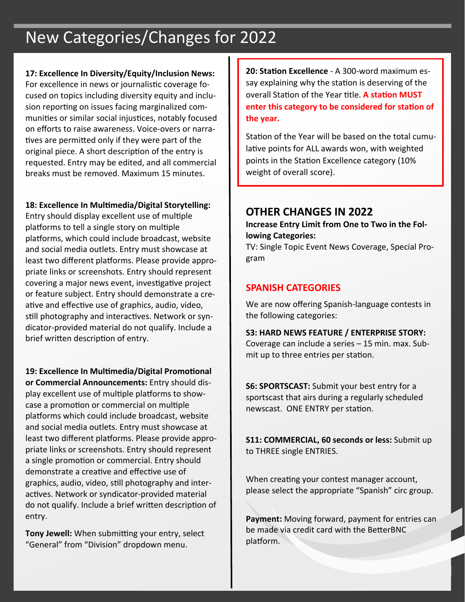# New Categories/Changes for 2022

**17: Excellence In Diversity/Equity/Inclusion News:**  For excellence in news or journalistic coverage focused on topics including diversity equity and inclusion reporting on issues facing marginalized communities or similar social injustices, notably focused on efforts to raise awareness. Voice-overs or narratives are permitted only if they were part of the original piece. A short description of the entry is requested. Entry may be edited, and all commercial breaks must be removed. Maximum 15 minutes.

## **18: Excellence In MulƟmedia/Digital Storytelling:**

Entry should display excellent use of multiple platforms to tell a single story on multiple platforms, which could include broadcast, website and social media outlets. Entry must showcase at least two different platforms. Please provide appropriate links or screenshots. Entry should represent covering a major news event, investigative project or feature subject. Entry should demonstrate a creative and effective use of graphics, audio, video, still photography and interactives. Network or syndicator-provided material do not qualify. Include a brief written description of entry.

**19: Excellence In MulƟmedia/Digital PromoƟonal or Commercial Announcements:** Entry should display excellent use of multiple platforms to showcase a promotion or commercial on multiple platforms which could include broadcast, website and social media outlets. Entry must showcase at least two different platforms. Please provide appropriate links or screenshots. Entry should represent a single promotion or commercial. Entry should demonstrate a creative and effective use of graphics, audio, video, sƟll photography and interactives. Network or syndicator-provided material do not qualify. Include a brief written description of entry.

**Tony Jewell:** When submitting your entry, select "General" from "Division" dropdown menu.

**20: StaƟon Excellence** - A 300-word maximum essay explaining why the station is deserving of the overall StaƟon of the Year Ɵtle. **A staƟon MUST enter this category to be considered for staƟon of the year.**

Station of the Year will be based on the total cumulative points for ALL awards won, with weighted points in the Station Excellence category (10% weight of overall score).

## **OTHER CHANGES IN 2022**

**Increase Entry Limit from One to Two in the Fol‐ lowing Categories:**

TV: Single Topic Event News Coverage, Special Program

## **SPANISH CATEGORIES**

We are now offering Spanish-language contests in the following categories:

**S3: HARD NEWS FEATURE / ENTERPRISE STORY:** Coverage can include a series – 15 min. max. Submit up to three entries per station.

**S6: SPORTSCAST:** Submit your best entry for a sportscast that airs during a regularly scheduled newscast. ONE ENTRY per station.

**S11: COMMERCIAL, 60 seconds or less:** Submit up to THREE single ENTRIES.

When creating your contest manager account, please select the appropriate "Spanish" circ group.

**Payment:** Moving forward, payment for entries can be made via credit card with the BetterBNC platform.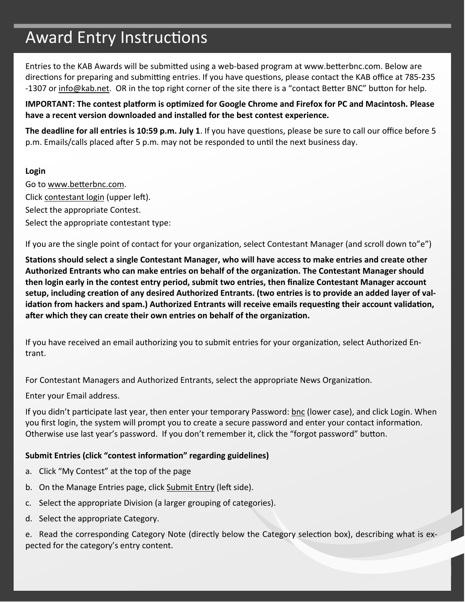# Award Entry Instructions

Entries to the KAB Awards will be submitted using a web-based program at www.betterbnc.com. Below are directions for preparing and submitting entries. If you have questions, please contact the KAB office at 785-235 -1307 or info@kab.net. OR in the top right corner of the site there is a "contact Better BNC" button for help.

IMPORTANT: The contest platform is optimized for Google Chrome and Firefox for PC and Macintosh. Please **have a recent version downloaded and installed for the best contest experience.**

**The deadline for all entries is 10:59 p.m. July 1.** If you have questions, please be sure to call our office before 5 p.m. Emails/calls placed after 5 p.m. may not be responded to until the next business day.

### **Login**

Go to www.betterbnc.com. Click contestant login (upper left). Select the appropriate Contest. Select the appropriate contestant type:

If you are the single point of contact for your organization, select Contestant Manager (and scroll down to"e")

Stations should select a single Contestant Manager, who will have access to make entries and create other **Authorized Entrants who can make entries on behalf of the organizaƟon. The Contestant Manager should then login early in the contest entry period, submit two entries, then finalize Contestant Manager account** setup, including creation of any desired Authorized Entrants. (two entries is to provide an added layer of validation from hackers and spam.) Authorized Entrants will receive emails requesting their account validation, **aŌer which they can create their own entries on behalf of the organizaƟon.**

If you have received an email authorizing you to submit entries for your organization, select Authorized Entrant.

For Contestant Managers and Authorized Entrants, select the appropriate News Organization.

Enter your Email address.

If you didn't participate last year, then enter your temporary Password: bnc (lower case), and click Login. When you first login, the system will prompt you to create a secure password and enter your contact information. Otherwise use last year's password. If you don't remember it, click the "forgot password" button.

## **Submit Entries (click "contest informaƟon" regarding guidelines)**

- a. Click "My Contest" at the top of the page
- b. On the Manage Entries page, click Submit Entry (left side).
- c. Select the appropriate Division (a larger grouping of categories).
- d. Select the appropriate Category.

e. Read the corresponding Category Note (directly below the Category selection box), describing what is expected for the category's entry content.